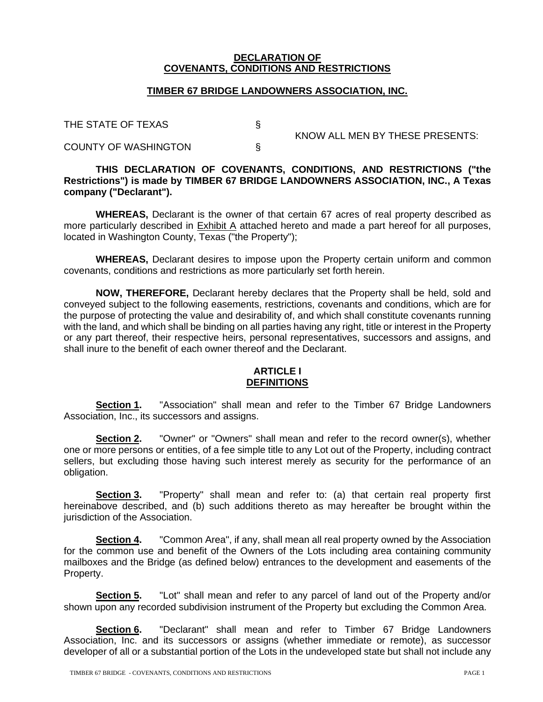#### **DECLARATION OF COVENANTS, CONDITIONS AND RESTRICTIONS**

#### **TIMBER 67 BRIDGE LANDOWNERS ASSOCIATION, INC.**

THE STATE OF TEXAS

COUNTY OF WASHINGTON §

KNOW ALL MEN BY THESE PRESENTS:

# **THIS DECLARATION OF COVENANTS, CONDITIONS, AND RESTRICTIONS ("the Restrictions") is made by TIMBER 67 BRIDGE LANDOWNERS ASSOCIATION, INC., A Texas company ("Declarant").**

**WHEREAS,** Declarant is the owner of that certain 67 acres of real property described as more particularly described in Exhibit A attached hereto and made a part hereof for all purposes, located in Washington County, Texas ("the Property");

**WHEREAS,** Declarant desires to impose upon the Property certain uniform and common covenants, conditions and restrictions as more particularly set forth herein.

**NOW, THEREFORE,** Declarant hereby declares that the Property shall be held, sold and conveyed subject to the following easements, restrictions, covenants and conditions, which are for the purpose of protecting the value and desirability of, and which shall constitute covenants running with the land, and which shall be binding on all parties having any right, title or interest in the Property or any part thereof, their respective heirs, personal representatives, successors and assigns, and shall inure to the benefit of each owner thereof and the Declarant.

# **ARTICLE I DEFINITIONS**

**Section 1.** "Association" shall mean and refer to the Timber 67 Bridge Landowners Association, Inc., its successors and assigns.

**Section 2.** "Owner" or "Owners" shall mean and refer to the record owner(s), whether one or more persons or entities, of a fee simple title to any Lot out of the Property, including contract sellers, but excluding those having such interest merely as security for the performance of an obligation.

**Section 3.** "Property" shall mean and refer to: (a) that certain real property first hereinabove described, and (b) such additions thereto as may hereafter be brought within the jurisdiction of the Association.

**Section 4.** "Common Area", if any, shall mean all real property owned by the Association for the common use and benefit of the Owners of the Lots including area containing community mailboxes and the Bridge (as defined below) entrances to the development and easements of the Property.

**Section 5.** "Lot" shall mean and refer to any parcel of land out of the Property and/or shown upon any recorded subdivision instrument of the Property but excluding the Common Area.

**Section 6.** "Declarant" shall mean and refer to Timber 67 Bridge Landowners Association, Inc. and its successors or assigns (whether immediate or remote), as successor developer of all or a substantial portion of the Lots in the undeveloped state but shall not include any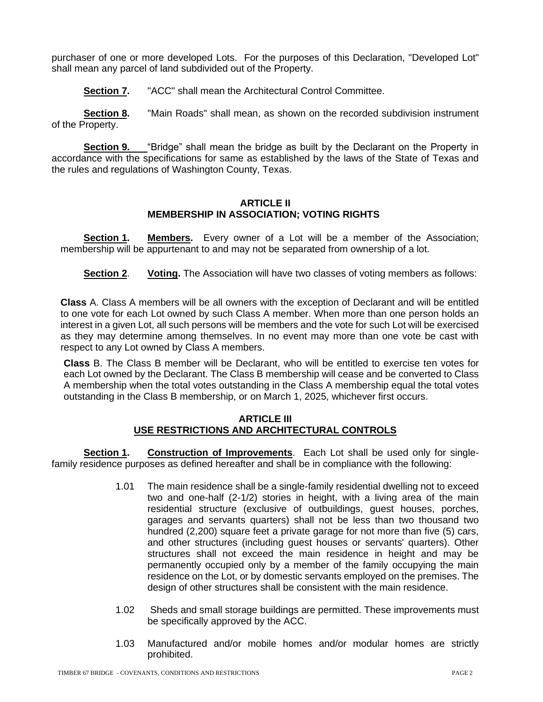purchaser of one or more developed Lots. For the purposes of this Declaration, "Developed Lot" shall mean any parcel of land subdivided out of the Property.

**Section 7.** "ACC" shall mean the Architectural Control Committee.

**Section 8.** "Main Roads" shall mean, as shown on the recorded subdivision instrument of the Property.

**Section 9.** "Bridge" shall mean the bridge as built by the Declarant on the Property in accordance with the specifications for same as established by the laws of the State of Texas and the rules and regulations of Washington County, Texas.

# **ARTICLE II MEMBERSHIP IN ASSOCIATION; VOTING RIGHTS**

**Section 1. Members.** Every owner of a Lot will be a member of the Association; membership will be appurtenant to and may not be separated from ownership of a lot.

**Section 2**. **Voting.** The Association will have two classes of voting members as follows:

**Class** A. Class A members will be all owners with the exception of Declarant and will be entitled to one vote for each Lot owned by such Class A member. When more than one person holds an interest in a given Lot, all such persons will be members and the vote for such Lot will be exercised as they may determine among themselves. In no event may more than one vote be cast with respect to any Lot owned by Class A members.

**Class** B. The Class B member will be Declarant, who will be entitled to exercise ten votes for each Lot owned by the Declarant. The Class B membership will cease and be converted to Class A membership when the total votes outstanding in the Class A membership equal the total votes outstanding in the Class B membership, or on March 1, 2025, whichever first occurs.

#### **ARTICLE III USE RESTRICTIONS AND ARCHITECTURAL CONTROLS**

**Section 1. Construction of Improvements**. Each Lot shall be used only for singlefamily residence purposes as defined hereafter and shall be in compliance with the following:

- 1.01 The main residence shall be a single-family residential dwelling not to exceed two and one-half (2-1/2) stories in height, with a living area of the main residential structure (exclusive of outbuildings, guest houses, porches, garages and servants quarters) shall not be less than two thousand two hundred (2,200) square feet a private garage for not more than five (5) cars, and other structures (including guest houses or servants' quarters). Other structures shall not exceed the main residence in height and may be permanently occupied only by a member of the family occupying the main residence on the Lot, or by domestic servants employed on the premises. The design of other structures shall be consistent with the main residence.
- 1.02 Sheds and small storage buildings are permitted. These improvements must be specifically approved by the ACC.
- 1.03 Manufactured and/or mobile homes and/or modular homes are strictly prohibited.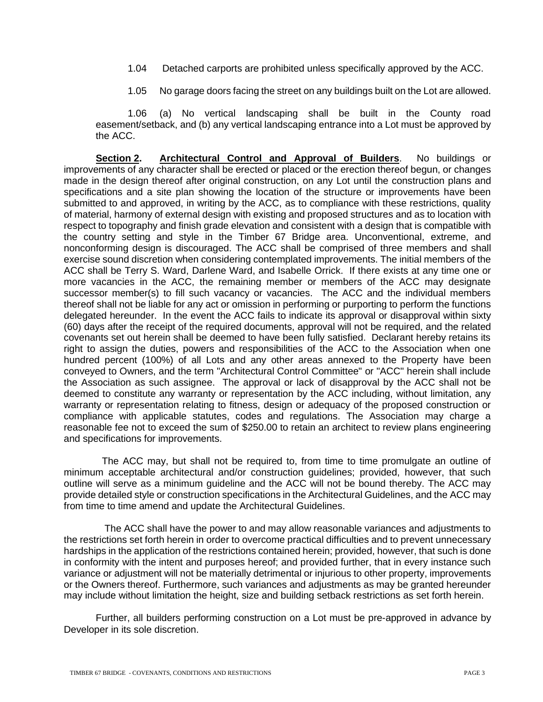- 1.04 Detached carports are prohibited unless specifically approved by the ACC.
- 1.05 No garage doors facing the street on any buildings built on the Lot are allowed.

1.06 (a) No vertical landscaping shall be built in the County road easement/setback, and (b) any vertical landscaping entrance into a Lot must be approved by the ACC.

**Section 2. Architectural Control and Approval of Builders**. No buildings or improvements of any character shall be erected or placed or the erection thereof begun, or changes made in the design thereof after original construction, on any Lot until the construction plans and specifications and a site plan showing the location of the structure or improvements have been submitted to and approved, in writing by the ACC, as to compliance with these restrictions, quality of material, harmony of external design with existing and proposed structures and as to location with respect to topography and finish grade elevation and consistent with a design that is compatible with the country setting and style in the Timber 67 Bridge area. Unconventional, extreme, and nonconforming design is discouraged. The ACC shall be comprised of three members and shall exercise sound discretion when considering contemplated improvements. The initial members of the ACC shall be Terry S. Ward, Darlene Ward, and Isabelle Orrick. If there exists at any time one or more vacancies in the ACC, the remaining member or members of the ACC may designate successor member(s) to fill such vacancy or vacancies. The ACC and the individual members thereof shall not be liable for any act or omission in performing or purporting to perform the functions delegated hereunder. In the event the ACC fails to indicate its approval or disapproval within sixty (60) days after the receipt of the required documents, approval will not be required, and the related covenants set out herein shall be deemed to have been fully satisfied. Declarant hereby retains its right to assign the duties, powers and responsibilities of the ACC to the Association when one hundred percent (100%) of all Lots and any other areas annexed to the Property have been conveyed to Owners, and the term "Architectural Control Committee" or "ACC" herein shall include the Association as such assignee. The approval or lack of disapproval by the ACC shall not be deemed to constitute any warranty or representation by the ACC including, without limitation, any warranty or representation relating to fitness, design or adequacy of the proposed construction or compliance with applicable statutes, codes and regulations. The Association may charge a reasonable fee not to exceed the sum of \$250.00 to retain an architect to review plans engineering and specifications for improvements.

 The ACC may, but shall not be required to, from time to time promulgate an outline of minimum acceptable architectural and/or construction guidelines; provided, however, that such outline will serve as a minimum guideline and the ACC will not be bound thereby. The ACC may provide detailed style or construction specifications in the Architectural Guidelines, and the ACC may from time to time amend and update the Architectural Guidelines.

 The ACC shall have the power to and may allow reasonable variances and adjustments to the restrictions set forth herein in order to overcome practical difficulties and to prevent unnecessary hardships in the application of the restrictions contained herein; provided, however, that such is done in conformity with the intent and purposes hereof; and provided further, that in every instance such variance or adjustment will not be materially detrimental or injurious to other property, improvements or the Owners thereof. Furthermore, such variances and adjustments as may be granted hereunder may include without limitation the height, size and building setback restrictions as set forth herein.

Further, all builders performing construction on a Lot must be pre-approved in advance by Developer in its sole discretion.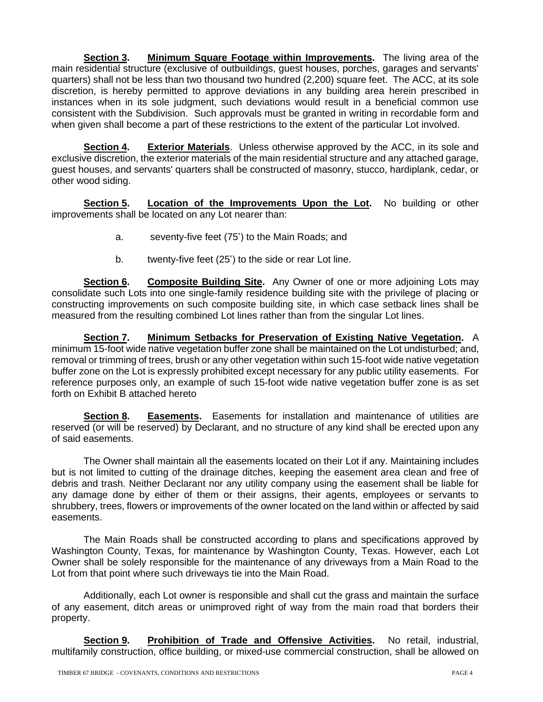**Section 3. Minimum Square Footage within Improvements.** The living area of the main residential structure (exclusive of outbuildings, guest houses, porches, garages and servants' quarters) shall not be less than two thousand two hundred (2,200) square feet. The ACC, at its sole discretion, is hereby permitted to approve deviations in any building area herein prescribed in instances when in its sole judgment, such deviations would result in a beneficial common use consistent with the Subdivision. Such approvals must be granted in writing in recordable form and when given shall become a part of these restrictions to the extent of the particular Lot involved.

**Section 4. Exterior Materials**. Unless otherwise approved by the ACC, in its sole and exclusive discretion, the exterior materials of the main residential structure and any attached garage, guest houses, and servants' quarters shall be constructed of masonry, stucco, hardiplank, cedar, or other wood siding.

**Section 5. Location of the Improvements Upon the Lot.** No building or other improvements shall be located on any Lot nearer than:

- a. seventy-five feet (75') to the Main Roads; and
- b. twenty-five feet (25') to the side or rear Lot line.

**Section 6. Composite Building Site.** Any Owner of one or more adjoining Lots may consolidate such Lots into one single-family residence building site with the privilege of placing or constructing improvements on such composite building site, in which case setback lines shall be measured from the resulting combined Lot lines rather than from the singular Lot lines.

**Section 7. Minimum Setbacks for Preservation of Existing Native Vegetation.** A minimum 15-foot wide native vegetation buffer zone shall be maintained on the Lot undisturbed; and, removal or trimming of trees, brush or any other vegetation within such 15-foot wide native vegetation buffer zone on the Lot is expressly prohibited except necessary for any public utility easements. For reference purposes only, an example of such 15-foot wide native vegetation buffer zone is as set forth on Exhibit B attached hereto

**Section 8. Easements.** Easements for installation and maintenance of utilities are reserved (or will be reserved) by Declarant, and no structure of any kind shall be erected upon any of said easements.

The Owner shall maintain all the easements located on their Lot if any. Maintaining includes but is not limited to cutting of the drainage ditches, keeping the easement area clean and free of debris and trash. Neither Declarant nor any utility company using the easement shall be liable for any damage done by either of them or their assigns, their agents, employees or servants to shrubbery, trees, flowers or improvements of the owner located on the land within or affected by said easements.

The Main Roads shall be constructed according to plans and specifications approved by Washington County, Texas, for maintenance by Washington County, Texas. However, each Lot Owner shall be solely responsible for the maintenance of any driveways from a Main Road to the Lot from that point where such driveways tie into the Main Road.

Additionally, each Lot owner is responsible and shall cut the grass and maintain the surface of any easement, ditch areas or unimproved right of way from the main road that borders their property.

**Section 9. Prohibition of Trade and Offensive Activities.** No retail, industrial, multifamily construction, office building, or mixed-use commercial construction, shall be allowed on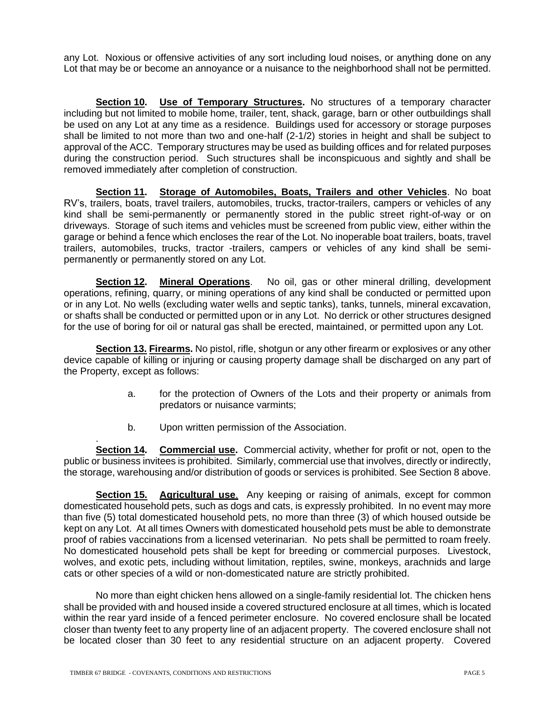any Lot. Noxious or offensive activities of any sort including loud noises, or anything done on any Lot that may be or become an annoyance or a nuisance to the neighborhood shall not be permitted.

**Section 10. Use of Temporary Structures.** No structures of a temporary character including but not limited to mobile home, trailer, tent, shack, garage, barn or other outbuildings shall be used on any Lot at any time as a residence. Buildings used for accessory or storage purposes shall be limited to not more than two and one-half (2-1/2) stories in height and shall be subject to approval of the ACC. Temporary structures may be used as building offices and for related purposes during the construction period. Such structures shall be inconspicuous and sightly and shall be removed immediately after completion of construction.

**Section 11. Storage of Automobiles, Boats, Trailers and other Vehicles**. No boat RV's, trailers, boats, travel trailers, automobiles, trucks, tractor-trailers, campers or vehicles of any kind shall be semi-permanently or permanently stored in the public street right-of-way or on driveways. Storage of such items and vehicles must be screened from public view, either within the garage or behind a fence which encloses the rear of the Lot. No inoperable boat trailers, boats, travel trailers, automobiles, trucks, tractor -trailers, campers or vehicles of any kind shall be semipermanently or permanently stored on any Lot.

**Section 12. Mineral Operations**. No oil, gas or other mineral drilling, development operations, refining, quarry, or mining operations of any kind shall be conducted or permitted upon or in any Lot. No wells (excluding water wells and septic tanks), tanks, tunnels, mineral excavation, or shafts shall be conducted or permitted upon or in any Lot. No derrick or other structures designed for the use of boring for oil or natural gas shall be erected, maintained, or permitted upon any Lot.

**Section 13. Firearms.** No pistol, rifle, shotgun or any other firearm or explosives or any other device capable of killing or injuring or causing property damage shall be discharged on any part of the Property, except as follows:

- a. for the protection of Owners of the Lots and their property or animals from predators or nuisance varmints;
- b. Upon written permission of the Association.

. **Section 14. Commercial use.** Commercial activity, whether for profit or not, open to the public or business invitees is prohibited. Similarly, commercial use that involves, directly or indirectly, the storage, warehousing and/or distribution of goods or services is prohibited. See Section 8 above.

**Section 15. Agricultural use**. Any keeping or raising of animals, except for common domesticated household pets, such as dogs and cats, is expressly prohibited. In no event may more than five (5) total domesticated household pets, no more than three (3) of which housed outside be kept on any Lot. At all times Owners with domesticated household pets must be able to demonstrate proof of rabies vaccinations from a licensed veterinarian. No pets shall be permitted to roam freely. No domesticated household pets shall be kept for breeding or commercial purposes. Livestock, wolves, and exotic pets, including without limitation, reptiles, swine, monkeys, arachnids and large cats or other species of a wild or non-domesticated nature are strictly prohibited.

No more than eight chicken hens allowed on a single-family residential lot. The chicken hens shall be provided with and housed inside a covered structured enclosure at all times, which is located within the rear yard inside of a fenced perimeter enclosure. No covered enclosure shall be located closer than twenty feet to any property line of an adjacent property. The covered enclosure shall not be located closer than 30 feet to any residential structure on an adjacent property. Covered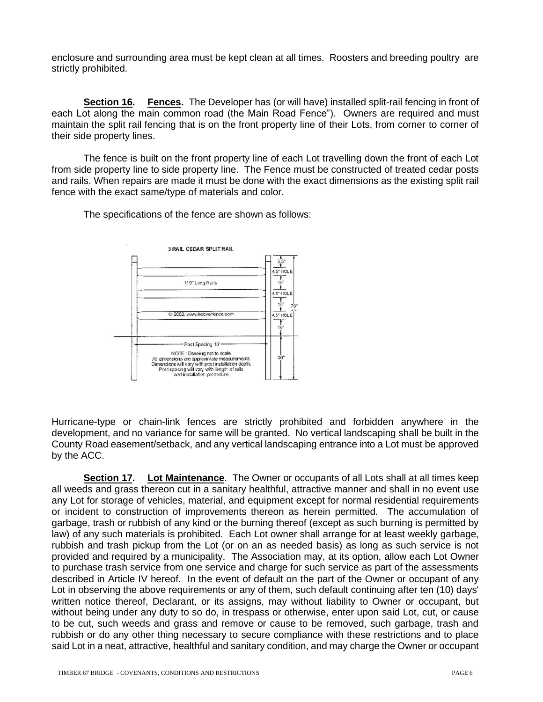enclosure and surrounding area must be kept clean at all times. Roosters and breeding poultry are strictly prohibited.

**Section 16. Fences.** The Developer has (or will have) installed split-rail fencing in front of each Lot along the main common road (the Main Road Fence"). Owners are required and must maintain the split rail fencing that is on the front property line of their Lots, from corner to corner of their side property lines.

The fence is built on the front property line of each Lot travelling down the front of each Lot from side property line to side property line. The Fence must be constructed of treated cedar posts and rails. When repairs are made it must be done with the exact dimensions as the existing split rail fence with the exact same/type of materials and color.

The specifications of the fence are shown as follows:



Hurricane-type or chain-link fences are strictly prohibited and forbidden anywhere in the development, and no variance for same will be granted. No vertical landscaping shall be built in the County Road easement/setback, and any vertical landscaping entrance into a Lot must be approved by the ACC.

**Section 17. Lot Maintenance**. The Owner or occupants of all Lots shall at all times keep all weeds and grass thereon cut in a sanitary healthful, attractive manner and shall in no event use any Lot for storage of vehicles, material, and equipment except for normal residential requirements or incident to construction of improvements thereon as herein permitted. The accumulation of garbage, trash or rubbish of any kind or the burning thereof (except as such burning is permitted by law) of any such materials is prohibited. Each Lot owner shall arrange for at least weekly garbage, rubbish and trash pickup from the Lot (or on an as needed basis) as long as such service is not provided and required by a municipality. The Association may, at its option, allow each Lot Owner to purchase trash service from one service and charge for such service as part of the assessments described in Article IV hereof. In the event of default on the part of the Owner or occupant of any Lot in observing the above requirements or any of them, such default continuing after ten (10) days' written notice thereof, Declarant, or its assigns, may without liability to Owner or occupant, but without being under any duty to so do, in trespass or otherwise, enter upon said Lot, cut, or cause to be cut, such weeds and grass and remove or cause to be removed, such garbage, trash and rubbish or do any other thing necessary to secure compliance with these restrictions and to place said Lot in a neat, attractive, healthful and sanitary condition, and may charge the Owner or occupant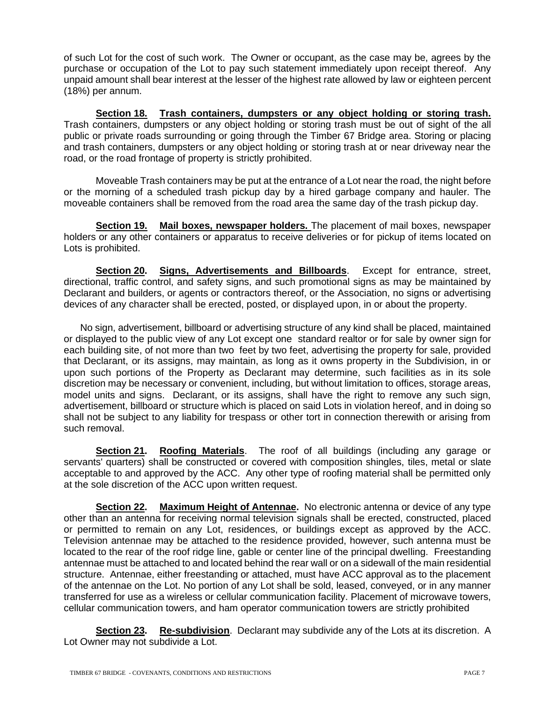of such Lot for the cost of such work. The Owner or occupant, as the case may be, agrees by the purchase or occupation of the Lot to pay such statement immediately upon receipt thereof. Any unpaid amount shall bear interest at the lesser of the highest rate allowed by law or eighteen percent (18%) per annum.

**Section 18. Trash containers, dumpsters or any object holding or storing trash.**  Trash containers, dumpsters or any object holding or storing trash must be out of sight of the all public or private roads surrounding or going through the Timber 67 Bridge area. Storing or placing and trash containers, dumpsters or any object holding or storing trash at or near driveway near the road, or the road frontage of property is strictly prohibited.

Moveable Trash containers may be put at the entrance of a Lot near the road, the night before or the morning of a scheduled trash pickup day by a hired garbage company and hauler. The moveable containers shall be removed from the road area the same day of the trash pickup day.

**Section 19. Mail boxes, newspaper holders.** The placement of mail boxes, newspaper holders or any other containers or apparatus to receive deliveries or for pickup of items located on Lots is prohibited.

**Section 20. Signs, Advertisements and Billboards**. Except for entrance, street, directional, traffic control, and safety signs, and such promotional signs as may be maintained by Declarant and builders, or agents or contractors thereof, or the Association, no signs or advertising devices of any character shall be erected, posted, or displayed upon, in or about the property.

 No sign, advertisement, billboard or advertising structure of any kind shall be placed, maintained or displayed to the public view of any Lot except one standard realtor or for sale by owner sign for each building site, of not more than two feet by two feet, advertising the property for sale, provided that Declarant, or its assigns, may maintain, as long as it owns property in the Subdivision, in or upon such portions of the Property as Declarant may determine, such facilities as in its sole discretion may be necessary or convenient, including, but without limitation to offices, storage areas, model units and signs. Declarant, or its assigns, shall have the right to remove any such sign, advertisement, billboard or structure which is placed on said Lots in violation hereof, and in doing so shall not be subject to any liability for trespass or other tort in connection therewith or arising from such removal.

**Section 21. Roofing Materials**. The roof of all buildings (including any garage or servants' quarters) shall be constructed or covered with composition shingles, tiles, metal or slate acceptable to and approved by the ACC. Any other type of roofing material shall be permitted only at the sole discretion of the ACC upon written request.

**Section 22. Maximum Height of Antennae.** No electronic antenna or device of any type other than an antenna for receiving normal television signals shall be erected, constructed, placed or permitted to remain on any Lot, residences, or buildings except as approved by the ACC. Television antennae may be attached to the residence provided, however, such antenna must be located to the rear of the roof ridge line, gable or center line of the principal dwelling. Freestanding antennae must be attached to and located behind the rear wall or on a sidewall of the main residential structure. Antennae, either freestanding or attached, must have ACC approval as to the placement of the antennae on the Lot. No portion of any Lot shall be sold, leased, conveyed, or in any manner transferred for use as a wireless or cellular communication facility. Placement of microwave towers, cellular communication towers, and ham operator communication towers are strictly prohibited

**Section 23. Re-subdivision**. Declarant may subdivide any of the Lots at its discretion. A Lot Owner may not subdivide a Lot.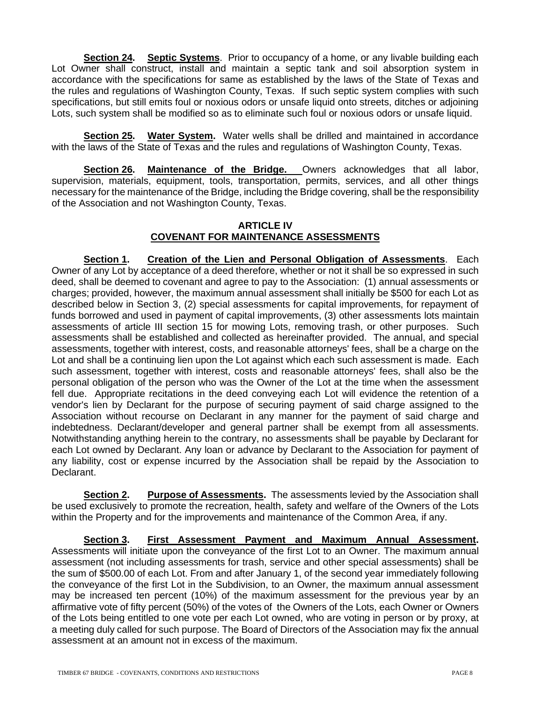**Section 24. Septic Systems**. Prior to occupancy of a home, or any livable building each Lot Owner shall construct, install and maintain a septic tank and soil absorption system in accordance with the specifications for same as established by the laws of the State of Texas and the rules and regulations of Washington County, Texas. If such septic system complies with such specifications, but still emits foul or noxious odors or unsafe liquid onto streets, ditches or adjoining Lots, such system shall be modified so as to eliminate such foul or noxious odors or unsafe liquid.

**Section 25. Water System.** Water wells shall be drilled and maintained in accordance with the laws of the State of Texas and the rules and regulations of Washington County, Texas.

**Section 26. Maintenance of the Bridge.** Owners acknowledges that all labor, supervision, materials, equipment, tools, transportation, permits, services, and all other things necessary for the maintenance of the Bridge, including the Bridge covering, shall be the responsibility of the Association and not Washington County, Texas.

## **ARTICLE IV COVENANT FOR MAINTENANCE ASSESSMENTS**

**Section 1. Creation of the Lien and Personal Obligation of Assessments**. Each Owner of any Lot by acceptance of a deed therefore, whether or not it shall be so expressed in such deed, shall be deemed to covenant and agree to pay to the Association: (1) annual assessments or charges; provided, however, the maximum annual assessment shall initially be \$500 for each Lot as described below in Section 3, (2) special assessments for capital improvements, for repayment of funds borrowed and used in payment of capital improvements, (3) other assessments lots maintain assessments of article III section 15 for mowing Lots, removing trash, or other purposes. Such assessments shall be established and collected as hereinafter provided. The annual, and special assessments, together with interest, costs, and reasonable attorneys' fees, shall be a charge on the Lot and shall be a continuing lien upon the Lot against which each such assessment is made. Each such assessment, together with interest, costs and reasonable attorneys' fees, shall also be the personal obligation of the person who was the Owner of the Lot at the time when the assessment fell due. Appropriate recitations in the deed conveying each Lot will evidence the retention of a vendor's lien by Declarant for the purpose of securing payment of said charge assigned to the Association without recourse on Declarant in any manner for the payment of said charge and indebtedness. Declarant/developer and general partner shall be exempt from all assessments. Notwithstanding anything herein to the contrary, no assessments shall be payable by Declarant for each Lot owned by Declarant. Any loan or advance by Declarant to the Association for payment of any liability, cost or expense incurred by the Association shall be repaid by the Association to Declarant.

**Section 2. Purpose of Assessments.** The assessments levied by the Association shall be used exclusively to promote the recreation, health, safety and welfare of the Owners of the Lots within the Property and for the improvements and maintenance of the Common Area, if any.

**Section 3. First Assessment Payment and Maximum Annual Assessment.** Assessments will initiate upon the conveyance of the first Lot to an Owner. The maximum annual assessment (not including assessments for trash, service and other special assessments) shall be the sum of \$500.00 of each Lot. From and after January 1, of the second year immediately following the conveyance of the first Lot in the Subdivision, to an Owner, the maximum annual assessment may be increased ten percent (10%) of the maximum assessment for the previous year by an affirmative vote of fifty percent (50%) of the votes of the Owners of the Lots, each Owner or Owners of the Lots being entitled to one vote per each Lot owned, who are voting in person or by proxy, at a meeting duly called for such purpose. The Board of Directors of the Association may fix the annual assessment at an amount not in excess of the maximum.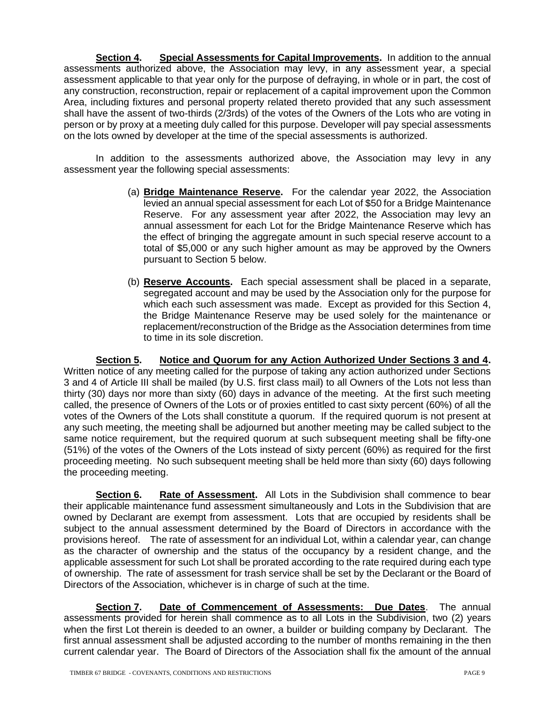**Section 4. Special Assessments for Capital Improvements.** In addition to the annual assessments authorized above, the Association may levy, in any assessment year, a special assessment applicable to that year only for the purpose of defraying, in whole or in part, the cost of any construction, reconstruction, repair or replacement of a capital improvement upon the Common Area, including fixtures and personal property related thereto provided that any such assessment shall have the assent of two-thirds (2/3rds) of the votes of the Owners of the Lots who are voting in person or by proxy at a meeting duly called for this purpose. Developer will pay special assessments on the lots owned by developer at the time of the special assessments is authorized.

In addition to the assessments authorized above, the Association may levy in any assessment year the following special assessments:

- (a) **Bridge Maintenance Reserve.** For the calendar year 2022, the Association levied an annual special assessment for each Lot of \$50 for a Bridge Maintenance Reserve. For any assessment year after 2022, the Association may levy an annual assessment for each Lot for the Bridge Maintenance Reserve which has the effect of bringing the aggregate amount in such special reserve account to a total of \$5,000 or any such higher amount as may be approved by the Owners pursuant to Section 5 below.
- (b) **Reserve Accounts.** Each special assessment shall be placed in a separate, segregated account and may be used by the Association only for the purpose for which each such assessment was made. Except as provided for this Section 4, the Bridge Maintenance Reserve may be used solely for the maintenance or replacement/reconstruction of the Bridge as the Association determines from time to time in its sole discretion.

**Section 5. Notice and Quorum for any Action Authorized Under Sections 3 and 4.**  Written notice of any meeting called for the purpose of taking any action authorized under Sections 3 and 4 of Article III shall be mailed (by U.S. first class mail) to all Owners of the Lots not less than thirty (30) days nor more than sixty (60) days in advance of the meeting. At the first such meeting called, the presence of Owners of the Lots or of proxies entitled to cast sixty percent (60%) of all the votes of the Owners of the Lots shall constitute a quorum. If the required quorum is not present at any such meeting, the meeting shall be adjourned but another meeting may be called subject to the same notice requirement, but the required quorum at such subsequent meeting shall be fifty-one (51%) of the votes of the Owners of the Lots instead of sixty percent (60%) as required for the first proceeding meeting. No such subsequent meeting shall be held more than sixty (60) days following the proceeding meeting.

**Section 6. Rate of Assessment.** All Lots in the Subdivision shall commence to bear their applicable maintenance fund assessment simultaneously and Lots in the Subdivision that are owned by Declarant are exempt from assessment. Lots that are occupied by residents shall be subject to the annual assessment determined by the Board of Directors in accordance with the provisions hereof. The rate of assessment for an individual Lot, within a calendar year, can change as the character of ownership and the status of the occupancy by a resident change, and the applicable assessment for such Lot shall be prorated according to the rate required during each type of ownership. The rate of assessment for trash service shall be set by the Declarant or the Board of Directors of the Association, whichever is in charge of such at the time.

**Section 7. Date of Commencement of Assessments: Due Dates**. The annual assessments provided for herein shall commence as to all Lots in the Subdivision, two (2) years when the first Lot therein is deeded to an owner, a builder or building company by Declarant. The first annual assessment shall be adjusted according to the number of months remaining in the then current calendar year. The Board of Directors of the Association shall fix the amount of the annual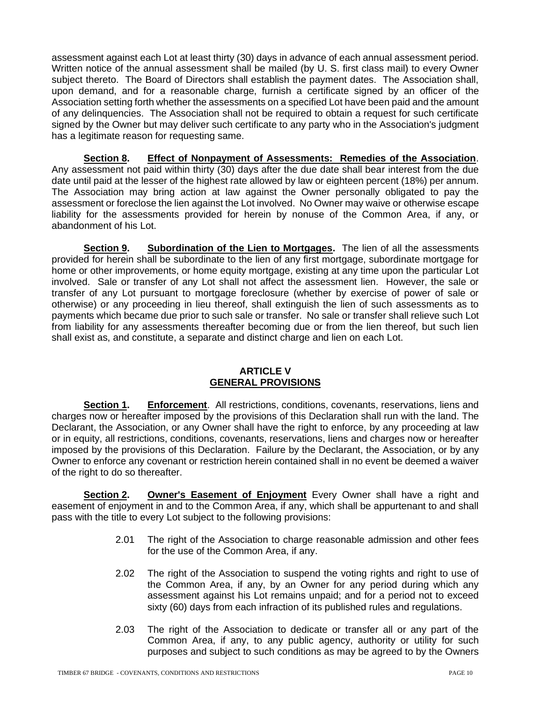assessment against each Lot at least thirty (30) days in advance of each annual assessment period. Written notice of the annual assessment shall be mailed (by U. S. first class mail) to every Owner subject thereto. The Board of Directors shall establish the payment dates. The Association shall, upon demand, and for a reasonable charge, furnish a certificate signed by an officer of the Association setting forth whether the assessments on a specified Lot have been paid and the amount of any delinquencies. The Association shall not be required to obtain a request for such certificate signed by the Owner but may deliver such certificate to any party who in the Association's judgment has a legitimate reason for requesting same.

**Section 8. Effect of Nonpayment of Assessments: Remedies of the Association**. Any assessment not paid within thirty (30) days after the due date shall bear interest from the due date until paid at the lesser of the highest rate allowed by law or eighteen percent (18%) per annum. The Association may bring action at law against the Owner personally obligated to pay the assessment or foreclose the lien against the Lot involved. No Owner may waive or otherwise escape liability for the assessments provided for herein by nonuse of the Common Area, if any, or abandonment of his Lot.

**Section 9. Subordination of the Lien to Mortgages.** The lien of all the assessments provided for herein shall be subordinate to the lien of any first mortgage, subordinate mortgage for home or other improvements, or home equity mortgage, existing at any time upon the particular Lot involved. Sale or transfer of any Lot shall not affect the assessment lien. However, the sale or transfer of any Lot pursuant to mortgage foreclosure (whether by exercise of power of sale or otherwise) or any proceeding in lieu thereof, shall extinguish the lien of such assessments as to payments which became due prior to such sale or transfer. No sale or transfer shall relieve such Lot from liability for any assessments thereafter becoming due or from the lien thereof, but such lien shall exist as, and constitute, a separate and distinct charge and lien on each Lot.

# **ARTICLE V GENERAL PROVISIONS**

**Section 1. Enforcement**. All restrictions, conditions, covenants, reservations, liens and charges now or hereafter imposed by the provisions of this Declaration shall run with the land. The Declarant, the Association, or any Owner shall have the right to enforce, by any proceeding at law or in equity, all restrictions, conditions, covenants, reservations, liens and charges now or hereafter imposed by the provisions of this Declaration. Failure by the Declarant, the Association, or by any Owner to enforce any covenant or restriction herein contained shall in no event be deemed a waiver of the right to do so thereafter.

**Section 2. Owner's Easement of Enjoyment** Every Owner shall have a right and easement of enjoyment in and to the Common Area, if any, which shall be appurtenant to and shall pass with the title to every Lot subject to the following provisions:

- 2.01 The right of the Association to charge reasonable admission and other fees for the use of the Common Area, if any.
- 2.02 The right of the Association to suspend the voting rights and right to use of the Common Area, if any, by an Owner for any period during which any assessment against his Lot remains unpaid; and for a period not to exceed sixty (60) days from each infraction of its published rules and regulations.
- 2.03 The right of the Association to dedicate or transfer all or any part of the Common Area, if any, to any public agency, authority or utility for such purposes and subject to such conditions as may be agreed to by the Owners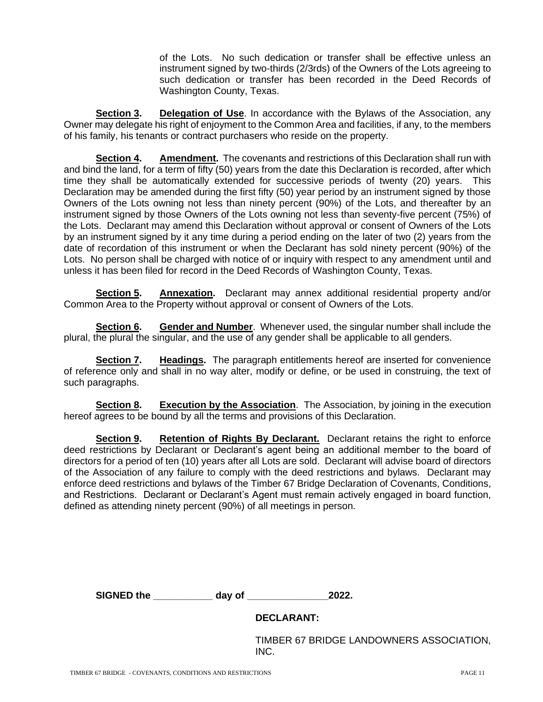of the Lots. No such dedication or transfer shall be effective unless an instrument signed by two-thirds (2/3rds) of the Owners of the Lots agreeing to such dedication or transfer has been recorded in the Deed Records of Washington County, Texas.

**Section 3. Delegation of Use**. In accordance with the Bylaws of the Association, any Owner may delegate his right of enjoyment to the Common Area and facilities, if any, to the members of his family, his tenants or contract purchasers who reside on the property.

**Section 4. Amendment.** The covenants and restrictions of this Declaration shall run with and bind the land, for a term of fifty (50) years from the date this Declaration is recorded, after which time they shall be automatically extended for successive periods of twenty (20) years. This Declaration may be amended during the first fifty (50) year period by an instrument signed by those Owners of the Lots owning not less than ninety percent (90%) of the Lots, and thereafter by an instrument signed by those Owners of the Lots owning not less than seventy-five percent (75%) of the Lots. Declarant may amend this Declaration without approval or consent of Owners of the Lots by an instrument signed by it any time during a period ending on the later of two (2) years from the date of recordation of this instrument or when the Declarant has sold ninety percent (90%) of the Lots. No person shall be charged with notice of or inquiry with respect to any amendment until and unless it has been filed for record in the Deed Records of Washington County, Texas.

**Section 5. Annexation.** Declarant may annex additional residential property and/or Common Area to the Property without approval or consent of Owners of the Lots.

**Section 6. Gender and Number**. Whenever used, the singular number shall include the plural, the plural the singular, and the use of any gender shall be applicable to all genders.

**Section 7. Headings.** The paragraph entitlements hereof are inserted for convenience of reference only and shall in no way alter, modify or define, or be used in construing, the text of such paragraphs.

**Section 8. Execution by the Association**. The Association, by joining in the execution hereof agrees to be bound by all the terms and provisions of this Declaration.

**Section 9.** Retention of Rights By Declarant. Declarant retains the right to enforce deed restrictions by Declarant or Declarant's agent being an additional member to the board of directors for a period of ten (10) years after all Lots are sold. Declarant will advise board of directors of the Association of any failure to comply with the deed restrictions and bylaws. Declarant may enforce deed restrictions and bylaws of the Timber 67 Bridge Declaration of Covenants, Conditions, and Restrictions. Declarant or Declarant's Agent must remain actively engaged in board function, defined as attending ninety percent (90%) of all meetings in person.

**SIGNED the \_\_\_\_\_\_\_\_\_\_\_ day of \_\_\_\_\_\_\_\_\_\_\_\_\_\_\_2022.**

#### **DECLARANT:**

TIMBER 67 BRIDGE LANDOWNERS ASSOCIATION, INC.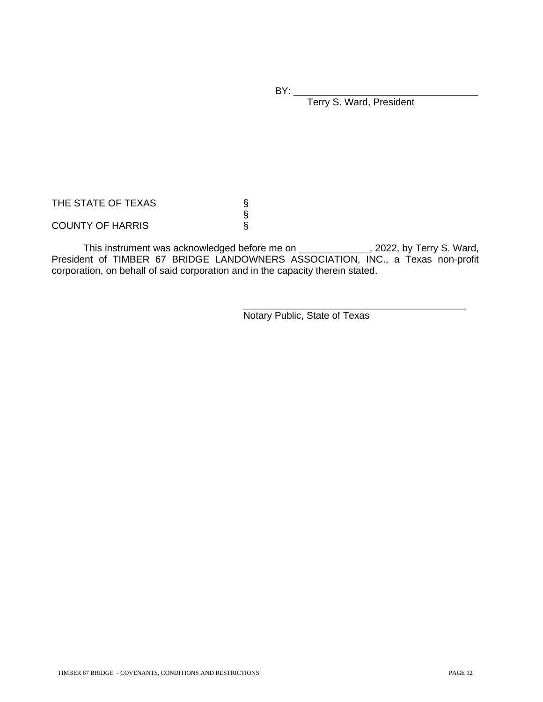$BY:$ 

Terry S. Ward, President

THE STATE OF TEXAS

COUNTY OF HARRIS

This instrument was acknowledged before me on \_\_\_\_\_\_\_\_\_\_\_\_\_, 2022, by Terry S. Ward, President of TIMBER 67 BRIDGE LANDOWNERS ASSOCIATION, INC., a Texas non-profit corporation, on behalf of said corporation and in the capacity therein stated.

§

\_\_\_\_\_\_\_\_\_\_\_\_\_\_\_\_\_\_\_\_\_\_\_\_\_\_\_\_\_\_\_\_\_\_\_\_\_\_\_\_\_ Notary Public, State of Texas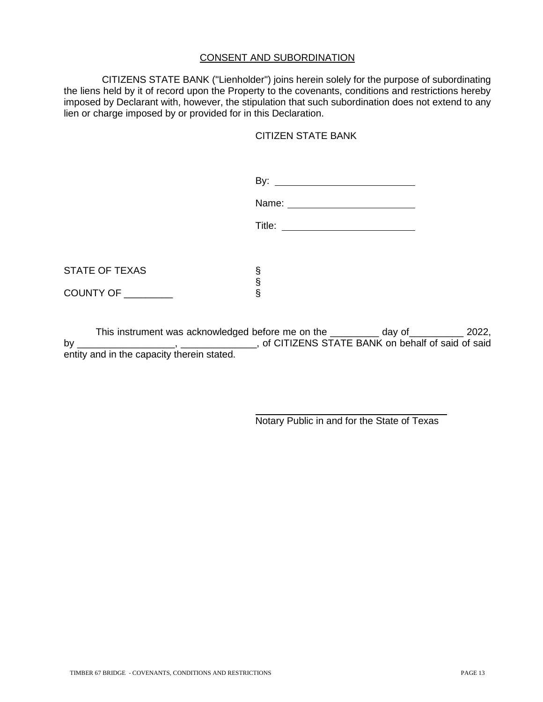# CONSENT AND SUBORDINATION

 CITIZENS STATE BANK ("Lienholder") joins herein solely for the purpose of subordinating the liens held by it of record upon the Property to the covenants, conditions and restrictions hereby imposed by Declarant with, however, the stipulation that such subordination does not extend to any lien or charge imposed by or provided for in this Declaration.

#### CITIZEN STATE BANK

|                       | By: <u>Denomination</u> |
|-----------------------|-------------------------|
|                       | Name:                   |
|                       |                         |
|                       |                         |
| <b>STATE OF TEXAS</b> | §                       |
| COUNTY OF ________    | S<br>S                  |
|                       |                         |

This instrument was acknowledged before me on the day of and the day of the same 2022, by \_\_\_\_\_\_\_\_\_\_\_\_\_\_\_\_\_, \_\_\_\_\_\_\_\_\_\_\_, of CITIZENS STATE BANK on behalf of said of said entity and in the capacity therein stated.

Notary Public in and for the State of Texas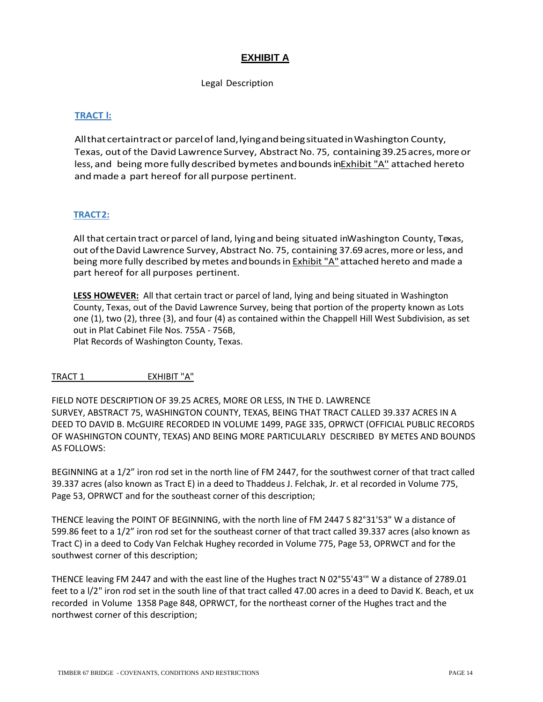# **EXHIBIT A**

Legal Description

## **TRACT l:**

Allthat certaintractor parcelof land,lyingandbeingsituatedinWashington County, Texas, out of the David Lawrence Survey, Abstract No. 75, containing 39.25 acres, more or less, and being more fully described bymetes and bounds in**Exhibit "A"** attached hereto andmade a part hereof forall purpose pertinent.

#### **TRACT2:**

All that certain tract or parcel of land, lying and being situated inWashington County, Texas, out of the David Lawrence Survey, Abstract No. 75, containing 37.69 acres, more or less, and being more fully described by metes and bounds in **Exhibit** "A" attached hereto and made a part hereof for all purposes pertinent.

**LESS HOWEVER:** All that certain tract or parcel of land, lying and being situated in Washington County, Texas, out of the David Lawrence Survey, being that portion of the property known as Lots one (1), two (2), three (3), and four (4) as contained within the Chappell Hill West Subdivision, as set out in Plat Cabinet File Nos. 755A - 756B,

Plat Records of Washington County, Texas.

TRACT 1 EXHIBIT "A"

FIELD NOTE DESCRIPTION OF 39.25 ACRES, MORE OR LESS, IN THE D. LAWRENCE SURVEY, ABSTRACT 75, WASHINGTON COUNTY, TEXAS, BEING THAT TRACT CALLED 39.337 ACRES IN A DEED TO DAVID B. McGUIRE RECORDED IN VOLUME 1499, PAGE 335, OPRWCT (OFFICIAL PUBLIC RECORDS OF WASHINGTON COUNTY, TEXAS) AND BEING MORE PARTICULARLY DESCRIBED BY METES AND BOUNDS AS FOLLOWS:

BEGINNING at a 1/2" iron rod set in the north line of FM 2447, for the southwest corner of that tract called 39.337 acres (also known as Tract E) in a deed to Thaddeus J. Felchak, Jr. et al recorded in Volume 775, Page 53, OPRWCT and for the southeast corner of this description;

THENCE leaving the POINT OF BEGINNING, with the north line of FM 2447 S 82°31'53" W a distance of 599.86 feet to a 1/2" iron rod set for the southeast corner of that tract called 39.337 acres (also known as Tract C) in a deed to Cody Van Felchak Hughey recorded in Volume 775, Page 53, OPRWCT and for the southwest corner of this description;

THENCE leaving FM 2447 and with the east line of the Hughes tract N 02°55'43'" W a distance of 2789.01 feet to a l/2" iron rod set in the south line of that tract called 47.00 acres in a deed to David K. Beach, et ux recorded in Volume 1358 Page 848, OPRWCT, for the northeast corner of the Hughes tract and the northwest corner of this description;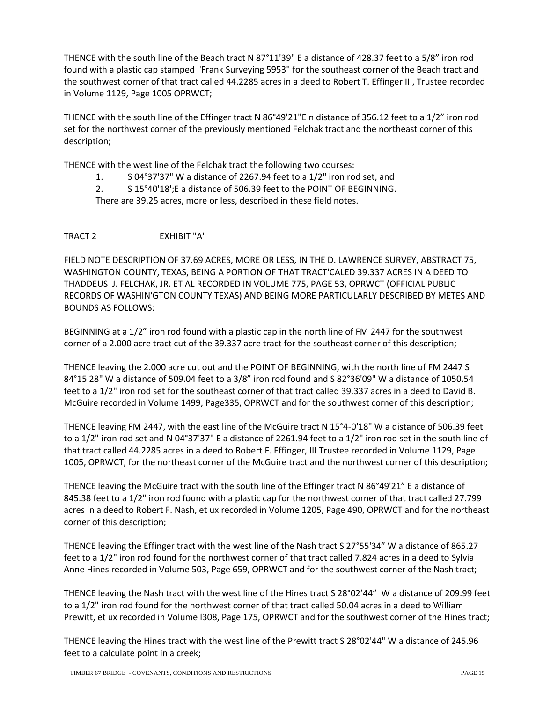THENCE with the south line of the Beach tract N 87°11'39" E a distance of 428.37 feet to a 5/8" iron rod found with a plastic cap stamped ''Frank Surveying 5953" for the southeast corner of the Beach tract and the southwest corner of that tract called 44.2285 acres in a deed to Robert T. Effinger III, Trustee recorded in Volume 1129, Page 1005 OPRWCT;

THENCE with the south line of the Effinger tract N 86°49'21"E n distance of 356.12 feet to a 1/2" iron rod set for the northwest corner of the previously mentioned Felchak tract and the northeast corner of this description;

THENCE with the west line of the Felchak tract the following two courses:

1. S 04°37'37" W a distance of 2267.94 feet to a 1/2" iron rod set, and

2. S 15°40'18';E a distance of 506.39 feet to the POINT OF BEGINNING.

There are 39.25 acres, more or less, described in these field notes.

#### TRACT 2 EXHIBIT "A"

FIELD NOTE DESCRIPTION OF 37.69 ACRES, MORE OR LESS, IN THE D. LAWRENCE SURVEY, ABSTRACT 75, WASHINGTON COUNTY, TEXAS, BEING A PORTION OF THAT TRACT'CALED 39.337 ACRES IN A DEED TO THADDEUS J. FELCHAK, JR. ET AL RECORDED IN VOLUME 775, PAGE 53, OPRWCT (OFFICIAL PUBLIC RECORDS OF WASHIN'GTON COUNTY TEXAS) AND BEING MORE PARTICULARLY DESCRIBED BY METES AND BOUNDS AS FOLLOWS:

BEGINNING at a 1/2" iron rod found with a plastic cap in the north line of FM 2447 for the southwest corner of a 2.000 acre tract cut of the 39.337 acre tract for the southeast corner of this description;

THENCE leaving the 2.000 acre cut out and the POINT OF BEGINNING, with the north line of FM 2447 S 84°15'28" W a distance of 509.04 feet to a 3/8" iron rod found and S 82°36'09" W a distance of 1050.54 feet to a 1/2" iron rod set for the southeast corner of that tract called 39.337 acres in a deed to David B. McGuire recorded in Volume 1499, Page335, OPRWCT and for the southwest corner of this description;

THENCE leaving FM 2447, with the east line of the McGuire tract N 15°4-0'18" W a distance of 506.39 feet to a 1/2" iron rod set and N 04°37'37" E a distance of 2261.94 feet to a 1/2" iron rod set in the south line of that tract called 44.2285 acres in a deed to Robert F. Effinger, III Trustee recorded in Volume 1129, Page 1005, OPRWCT, for the northeast corner of the McGuire tract and the northwest corner of this description;

THENCE leaving the McGuire tract with the south line of the Effinger tract N 86°49'21" E a distance of 845.38 feet to a 1/2" iron rod found with a plastic cap for the northwest corner of that tract called 27.799 acres in a deed to Robert F. Nash, et ux recorded in Volume 1205, Page 490, OPRWCT and for the northeast corner of this description;

THENCE leaving the Effinger tract with the west line of the Nash tract S 27°55'34" W a distance of 865.27 feet to a 1/2" iron rod found for the northwest corner of that tract called 7.824 acres in a deed to Sylvia Anne Hines recorded in Volume 503, Page 659, OPRWCT and for the southwest corner of the Nash tract;

THENCE leaving the Nash tract with the west line of the Hines tract S 28°02'44" W a distance of 209.99 feet to a 1/2" iron rod found for the northwest corner of that tract called 50.04 acres in a deed to William Prewitt, et ux recorded in Volume l308, Page 175, OPRWCT and for the southwest corner of the Hines tract;

THENCE leaving the Hines tract with the west line of the Prewitt tract S 28°02'44" W a distance of 245.96 feet to a calculate point in a creek;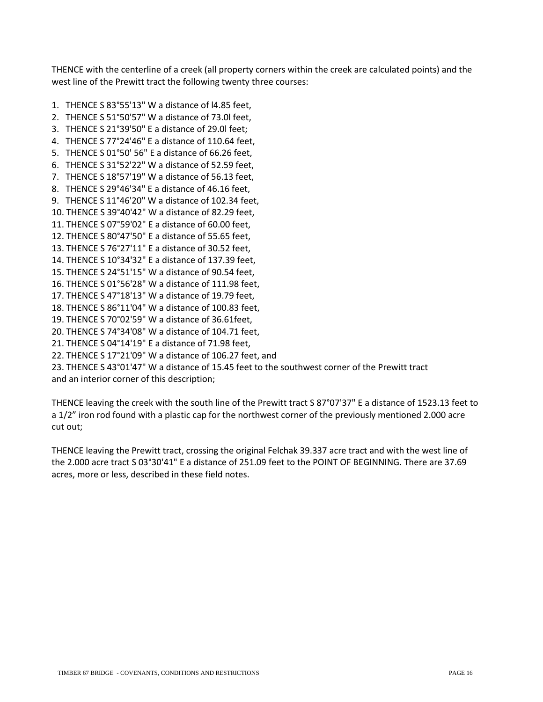THENCE with the centerline of a creek (all property corners within the creek are calculated points) and the west line of the Prewitt tract the following twenty three courses:

- 1. THENCE S 83°55'13" W a distance of l4.85 feet,
- 2. THENCE S 51°50'57" W a distance of 73.0l feet,
- 3. THENCE S 21°39'50" E a distance of 29.0l feet;
- 4. THENCE S 77°24'46" E a distance of 110.64 feet,
- 5. THENCE S 01°50' 56" E a distance of 66.26 feet,
- 6. THENCE S 31°52'22" W a distance of 52.59 feet,
- 7. THENCE S 18°57'19" W a distance of 56.13 feet,
- 8. THENCE S 29°46'34" E a distance of 46.16 feet,
- 9. THENCE S 11°46'20" W a distance of 102.34 feet,
- 10. THENCE S 39°40'42" W a distance of 82.29 feet,
- 11. THENCE S 07°59'02" E a distance of 60.00 feet,
- 12. THENCE S 80°47'50" E a distance of 55.65 feet,
- 13. THENCE S 76°27'11" E a distance of 30.52 feet,
- 14. THENCE S 10°34'32" E a distance of 137.39 feet,
- 15. THENCE S 24°51'15" W a distance of 90.54 feet,
- 16. THENCE S 01°56'28" W a distance of 111.98 feet,
- 17. THENCE S 47°18'13" W a distance of 19.79 feet,
- 18. THENCE S 86°11'04" W a distance of 100.83 feet,
- 19. THENCE S 70°02'59" W a distance of 36.61feet,
- 20. THENCE S 74°34'08" W a distance of 104.71 feet,
- 21. THENCE S 04°14'19" E a distance of 71.98 feet,
- 22. THENCE S 17°21'09" W a distance of 106.27 feet, and

23. THENCE S 43°01'47" W a distance of 15.45 feet to the southwest corner of the Prewitt tract

and an interior corner of this description;

THENCE leaving the creek with the south line of the Prewitt tract S 87°07'37" E a distance of 1523.13 feet to a 1/2" iron rod found with a plastic cap for the northwest corner of the previously mentioned 2.000 acre cut out;

THENCE leaving the Prewitt tract, crossing the original Felchak 39.337 acre tract and with the west line of the 2.000 acre tract S 03°30'41" E a distance of 251.09 feet to the POINT OF BEGINNING. There are 37.69 acres, more or less, described in these field notes.